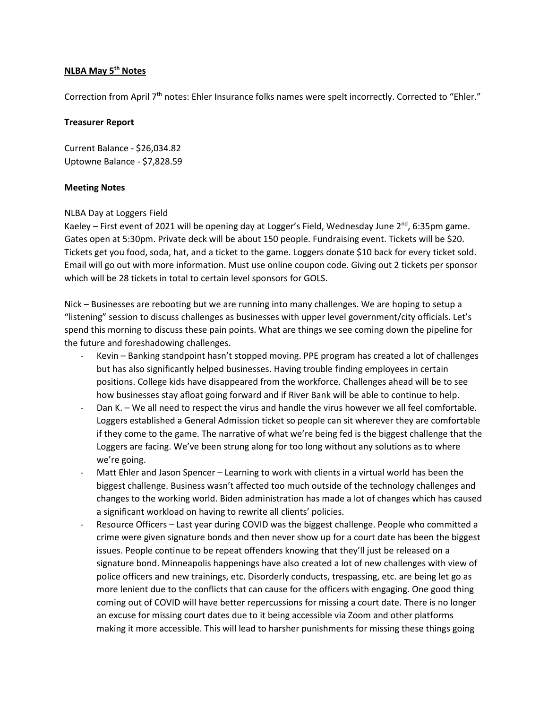## **NLBA May 5th Notes**

Correction from April 7th notes: Ehler Insurance folks names were spelt incorrectly. Corrected to "Ehler."

## **Treasurer Report**

Current Balance - \$26,034.82 Uptowne Balance - \$7,828.59

## **Meeting Notes**

## NLBA Day at Loggers Field

Kaeley – First event of 2021 will be opening day at Logger's Field, Wednesday June 2<sup>nd</sup>, 6:35pm game. Gates open at 5:30pm. Private deck will be about 150 people. Fundraising event. Tickets will be \$20. Tickets get you food, soda, hat, and a ticket to the game. Loggers donate \$10 back for every ticket sold. Email will go out with more information. Must use online coupon code. Giving out 2 tickets per sponsor which will be 28 tickets in total to certain level sponsors for GOLS.

Nick – Businesses are rebooting but we are running into many challenges. We are hoping to setup a "listening" session to discuss challenges as businesses with upper level government/city officials. Let's spend this morning to discuss these pain points. What are things we see coming down the pipeline for the future and foreshadowing challenges.

- Kevin Banking standpoint hasn't stopped moving. PPE program has created a lot of challenges but has also significantly helped businesses. Having trouble finding employees in certain positions. College kids have disappeared from the workforce. Challenges ahead will be to see how businesses stay afloat going forward and if River Bank will be able to continue to help.
- Dan K. We all need to respect the virus and handle the virus however we all feel comfortable. Loggers established a General Admission ticket so people can sit wherever they are comfortable if they come to the game. The narrative of what we're being fed is the biggest challenge that the Loggers are facing. We've been strung along for too long without any solutions as to where we're going.
- Matt Ehler and Jason Spencer Learning to work with clients in a virtual world has been the biggest challenge. Business wasn't affected too much outside of the technology challenges and changes to the working world. Biden administration has made a lot of changes which has caused a significant workload on having to rewrite all clients' policies.
- Resource Officers Last year during COVID was the biggest challenge. People who committed a crime were given signature bonds and then never show up for a court date has been the biggest issues. People continue to be repeat offenders knowing that they'll just be released on a signature bond. Minneapolis happenings have also created a lot of new challenges with view of police officers and new trainings, etc. Disorderly conducts, trespassing, etc. are being let go as more lenient due to the conflicts that can cause for the officers with engaging. One good thing coming out of COVID will have better repercussions for missing a court date. There is no longer an excuse for missing court dates due to it being accessible via Zoom and other platforms making it more accessible. This will lead to harsher punishments for missing these things going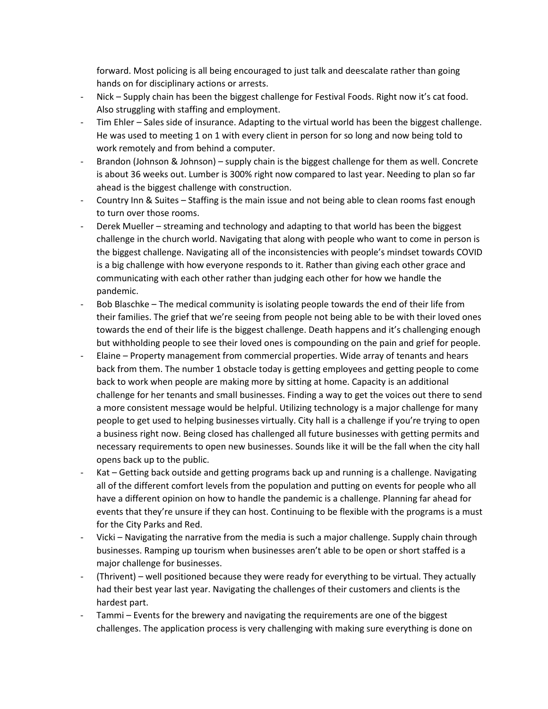forward. Most policing is all being encouraged to just talk and deescalate rather than going hands on for disciplinary actions or arrests.

- Nick Supply chain has been the biggest challenge for Festival Foods. Right now it's cat food. Also struggling with staffing and employment.
- Tim Ehler Sales side of insurance. Adapting to the virtual world has been the biggest challenge. He was used to meeting 1 on 1 with every client in person for so long and now being told to work remotely and from behind a computer.
- Brandon (Johnson & Johnson) supply chain is the biggest challenge for them as well. Concrete is about 36 weeks out. Lumber is 300% right now compared to last year. Needing to plan so far ahead is the biggest challenge with construction.
- Country Inn & Suites Staffing is the main issue and not being able to clean rooms fast enough to turn over those rooms.
- Derek Mueller streaming and technology and adapting to that world has been the biggest challenge in the church world. Navigating that along with people who want to come in person is the biggest challenge. Navigating all of the inconsistencies with people's mindset towards COVID is a big challenge with how everyone responds to it. Rather than giving each other grace and communicating with each other rather than judging each other for how we handle the pandemic.
- Bob Blaschke The medical community is isolating people towards the end of their life from their families. The grief that we're seeing from people not being able to be with their loved ones towards the end of their life is the biggest challenge. Death happens and it's challenging enough but withholding people to see their loved ones is compounding on the pain and grief for people.
- Elaine Property management from commercial properties. Wide array of tenants and hears back from them. The number 1 obstacle today is getting employees and getting people to come back to work when people are making more by sitting at home. Capacity is an additional challenge for her tenants and small businesses. Finding a way to get the voices out there to send a more consistent message would be helpful. Utilizing technology is a major challenge for many people to get used to helping businesses virtually. City hall is a challenge if you're trying to open a business right now. Being closed has challenged all future businesses with getting permits and necessary requirements to open new businesses. Sounds like it will be the fall when the city hall opens back up to the public.
- Kat Getting back outside and getting programs back up and running is a challenge. Navigating all of the different comfort levels from the population and putting on events for people who all have a different opinion on how to handle the pandemic is a challenge. Planning far ahead for events that they're unsure if they can host. Continuing to be flexible with the programs is a must for the City Parks and Red.
- Vicki Navigating the narrative from the media is such a major challenge. Supply chain through businesses. Ramping up tourism when businesses aren't able to be open or short staffed is a major challenge for businesses.
- (Thrivent) well positioned because they were ready for everything to be virtual. They actually had their best year last year. Navigating the challenges of their customers and clients is the hardest part.
- Tammi Events for the brewery and navigating the requirements are one of the biggest challenges. The application process is very challenging with making sure everything is done on